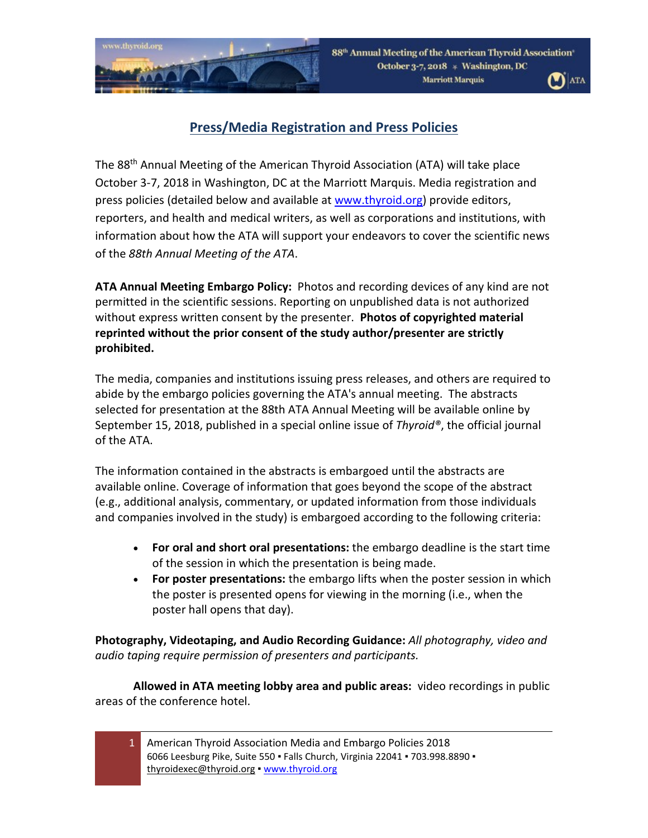

88<sup>th</sup> Annual Meeting of the American Thyroid Association October 3-7, 2018 \* Washington, DC **Marriott Marquis** 



## **Press/Media Registration and Press Policies**

The 88th Annual Meeting of the American Thyroid Association (ATA) will take place October 3-7, 2018 in Washington, DC at the Marriott Marquis. Media registration and press policies (detailed below and available at [www.thyroid.org](http://www.thyroid.org/)) provide editors, reporters, and health and medical writers, as well as corporations and institutions, with information about how the ATA will support your endeavors to cover the scientific news of the *88th Annual Meeting of the ATA*.

**ATA Annual Meeting Embargo Policy:** Photos and recording devices of any kind are not permitted in the scientific sessions. Reporting on unpublished data is not authorized without express written consent by the presenter. **Photos of copyrighted material reprinted without the prior consent of the study author/presenter are strictly prohibited.**

The media, companies and institutions issuing press releases, and others are required to abide by the embargo policies governing the ATA's annual meeting. The abstracts selected for presentation at the 88th ATA Annual Meeting will be available online by September 15, 2018, published in a special online issue of *Thyroid®*, the official journal of the ATA.

The information contained in the abstracts is embargoed until the abstracts are available online. Coverage of information that goes beyond the scope of the abstract (e.g., additional analysis, commentary, or updated information from those individuals and companies involved in the study) is embargoed according to the following criteria:

- **For oral and short oral presentations:** the embargo deadline is the start time of the session in which the presentation is being made.
- **For poster presentations:** the embargo lifts when the poster session in which the poster is presented opens for viewing in the morning (i.e., when the poster hall opens that day).

**Photography, Videotaping, and Audio Recording Guidance:** *All photography, video and audio taping require permission of presenters and participants.*

**Allowed in ATA meeting lobby area and public areas:** video recordings in public areas of the conference hotel.

1 American Thyroid Association Media and Embargo Policies 2018 6066 Leesburg Pike, Suite 550 · Falls Church, Virginia 22041 · 703.998.8890 · [thyroidexec@thyroid.org](mailto:thyroidexec@thyroid.org) [▪ www.thyroid.org](http://www.thyroid.org/)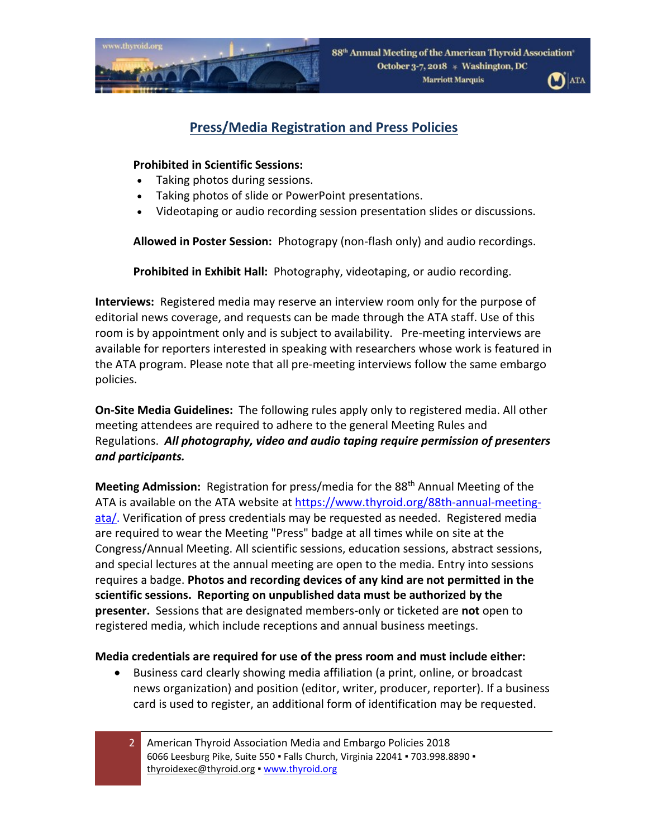



## **Press/Media Registration and Press Policies**

#### **Prohibited in Scientific Sessions:**

- Taking photos during sessions.
- Taking photos of slide or PowerPoint presentations.
- Videotaping or audio recording session presentation slides or discussions.

**Allowed in Poster Session:** Photograpy (non-flash only) and audio recordings.

**Prohibited in Exhibit Hall:** Photography, videotaping, or audio recording.

**Interviews:** Registered media may reserve an interview room only for the purpose of editorial news coverage, and requests can be made through the ATA staff. Use of this room is by appointment only and is subject to availability. Pre-meeting interviews are available for reporters interested in speaking with researchers whose work is featured in the ATA program. Please note that all pre-meeting interviews follow the same embargo policies.

**On-Site Media Guidelines:** The following rules apply only to registered media. All other meeting attendees are required to adhere to the general Meeting Rules and Regulations. *All photography, video and audio taping require permission of presenters and participants.*

**Meeting Admission:** Registration for press/media for the 88th Annual Meeting of the ATA is available on the ATA website at [https://www.thyroid.org/88th](https://www.thyroid.org/88th-annual-meeting-ata/)-annual-meeting[ata/.](https://www.thyroid.org/88th-annual-meeting-ata/) Verification of press credentials may be requested as needed. Registered media are required to wear the Meeting "Press" badge at all times while on site at the Congress/Annual Meeting. All scientific sessions, education sessions, abstract sessions, and special lectures at the annual meeting are open to the media. Entry into sessions requires a badge. **Photos and recording devices of any kind are not permitted in the scientific sessions. Reporting on unpublished data must be authorized by the presenter.** Sessions that are designated members-only or ticketed are **not** open to registered media, which include receptions and annual business meetings.

#### **Media credentials are required for use of the press room and must include either:**

- Business card clearly showing media affiliation (a print, online, or broadcast news organization) and position (editor, writer, producer, reporter). If a business card is used to register, an additional form of identification may be requested.
	- 2 American Thyroid Association Media and Embargo Policies 2018 6066 Leesburg Pike, Suite 550 · Falls Church, Virginia 22041 · 703.998.8890 · [thyroidexec@thyroid.org](mailto:thyroidexec@thyroid.org) [▪ www.thyroid.org](http://www.thyroid.org/)